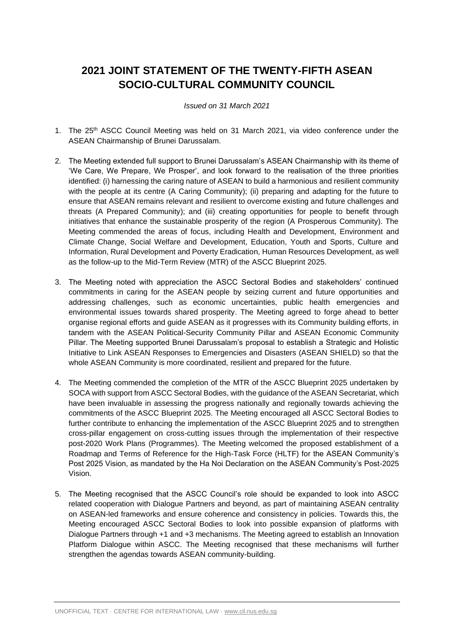## **2021 JOINT STATEMENT OF THE TWENTY-FIFTH ASEAN SOCIO-CULTURAL COMMUNITY COUNCIL**

## *Issued on 31 March 2021*

- 1. The 25th ASCC Council Meeting was held on 31 March 2021, via video conference under the ASEAN Chairmanship of Brunei Darussalam.
- 2. The Meeting extended full support to Brunei Darussalam's ASEAN Chairmanship with its theme of 'We Care, We Prepare, We Prosper', and look forward to the realisation of the three priorities identified: (i) harnessing the caring nature of ASEAN to build a harmonious and resilient community with the people at its centre (A Caring Community); (ii) preparing and adapting for the future to ensure that ASEAN remains relevant and resilient to overcome existing and future challenges and threats (A Prepared Community); and (iii) creating opportunities for people to benefit through initiatives that enhance the sustainable prosperity of the region (A Prosperous Community). The Meeting commended the areas of focus, including Health and Development, Environment and Climate Change, Social Welfare and Development, Education, Youth and Sports, Culture and Information, Rural Development and Poverty Eradication, Human Resources Development, as well as the follow-up to the Mid-Term Review (MTR) of the ASCC Blueprint 2025.
- 3. The Meeting noted with appreciation the ASCC Sectoral Bodies and stakeholders' continued commitments in caring for the ASEAN people by seizing current and future opportunities and addressing challenges, such as economic uncertainties, public health emergencies and environmental issues towards shared prosperity. The Meeting agreed to forge ahead to better organise regional efforts and guide ASEAN as it progresses with its Community building efforts, in tandem with the ASEAN Political-Security Community Pillar and ASEAN Economic Community Pillar. The Meeting supported Brunei Darussalam's proposal to establish a Strategic and Holistic Initiative to Link ASEAN Responses to Emergencies and Disasters (ASEAN SHIELD) so that the whole ASEAN Community is more coordinated, resilient and prepared for the future.
- 4. The Meeting commended the completion of the MTR of the ASCC Blueprint 2025 undertaken by SOCA with support from ASCC Sectoral Bodies, with the guidance of the ASEAN Secretariat, which have been invaluable in assessing the progress nationally and regionally towards achieving the commitments of the ASCC Blueprint 2025. The Meeting encouraged all ASCC Sectoral Bodies to further contribute to enhancing the implementation of the ASCC Blueprint 2025 and to strengthen cross-pillar engagement on cross-cutting issues through the implementation of their respective post-2020 Work Plans (Programmes). The Meeting welcomed the proposed establishment of a Roadmap and Terms of Reference for the High-Task Force (HLTF) for the ASEAN Community's Post 2025 Vision, as mandated by the Ha Noi Declaration on the ASEAN Community's Post-2025 Vision.
- 5. The Meeting recognised that the ASCC Council's role should be expanded to look into ASCC related cooperation with Dialogue Partners and beyond, as part of maintaining ASEAN centrality on ASEAN-led frameworks and ensure coherence and consistency in policies. Towards this, the Meeting encouraged ASCC Sectoral Bodies to look into possible expansion of platforms with Dialogue Partners through +1 and +3 mechanisms. The Meeting agreed to establish an Innovation Platform Dialogue within ASCC. The Meeting recognised that these mechanisms will further strengthen the agendas towards ASEAN community-building.